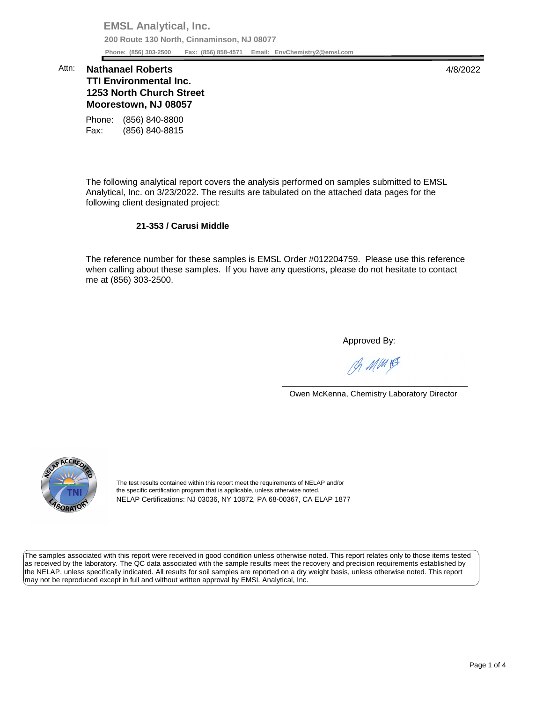**EMSL Analytical, Inc. 200 Route 130 North, Cinnaminson, NJ 08077 Phone: (856) 303-2500 Fax: (856) 858-4571 Email: [EnvChemistry2@emsl.com](mailto:EnvChemistry2@emsl.com)**  Phone: (856) 303-2500

## **1253 North Church Street Moorestown, NJ 08057**  Attn: **Nathanael Roberts** 4/8/2022 **TTI Environmental Inc.**

Phone: (856) 840-8800 Fax: (856) 840-8815

 The following analytical report covers the analysis performed on samples submitted to EMSL Analytical, Inc. on 3/23/2022. The results are tabulated on the attached data pages for the following client designated project:

## **21-353 / Carusi Middle**

 The reference number for these samples is EMSL Order #012204759. Please use this reference me at (856) 303-2500. when calling about these samples. If you have any questions, please do not hesitate to contact

Approved By:

Ph MMH

Owen McKenna, Chemistry Laboratory Director



The test results contained within this report meet the requirements of NELAP and/or the specific certification program that is applicable, unless otherwise noted. NELAP Certifications: NJ 03036, NY 10872, PA 68-00367, CA ELAP 1877

 The samples associated with this report were received in good condition unless otherwise noted. This report relates only to those items tested as received by the laboratory. The QC data associated with the sample results meet the recovery and precision requirements established by the NELAP, unless specifically indicated. All results for soil samples are reported on a dry weight basis, unless otherwise noted. This report may not be reproduced except in full and without written approval by EMSL Analytical, Inc.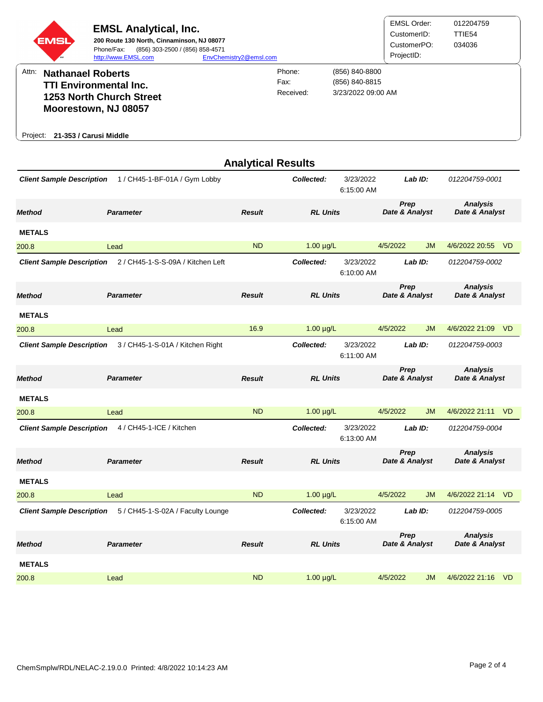|          | <b>EMSL</b>              | <b>EMSL Analytical, Inc.</b><br>200 Route 130 North, Cinnaminson, NJ 08077<br>(856) 303-2500 / (856) 858-4571<br>Phone/Fax:<br>http://www.EMSL.com | EnvChemistry2@emsl.com |                             |                                                        | <b>EMSL Order:</b><br>CustomerID:<br>CustomerPO:<br>ProjectID: | 012204759<br>TTIE54<br>034036 |
|----------|--------------------------|----------------------------------------------------------------------------------------------------------------------------------------------------|------------------------|-----------------------------|--------------------------------------------------------|----------------------------------------------------------------|-------------------------------|
| Attn:    | <b>Nathanael Roberts</b> | <b>TTI Environmental Inc.</b><br><b>1253 North Church Street</b><br>Moorestown, NJ 08057                                                           |                        | Phone:<br>Fax:<br>Received: | (856) 840-8800<br>(856) 840-8815<br>3/23/2022 09:00 AM |                                                                |                               |
| Project: | 21-353 / Carusi Middle   |                                                                                                                                                    |                        |                             |                                                        |                                                                |                               |

|                                  |                                   |               | <b>Analytical Results</b> |                         |                        |           |                                   |           |
|----------------------------------|-----------------------------------|---------------|---------------------------|-------------------------|------------------------|-----------|-----------------------------------|-----------|
| <b>Client Sample Description</b> | 1 / CH45-1-BF-01A / Gym Lobby     |               | Collected:                | 3/23/2022<br>6:15:00 AM |                        | Lab ID:   | 012204759-0001                    |           |
| <b>Method</b>                    | <b>Parameter</b>                  | <b>Result</b> | <b>RL Units</b>           |                         | Prep<br>Date & Analyst |           | <b>Analysis</b><br>Date & Analyst |           |
| <b>METALS</b>                    |                                   |               |                           |                         |                        |           |                                   |           |
| 200.8                            | Lead                              | <b>ND</b>     | $1.00 \mu g/L$            |                         | 4/5/2022               | <b>JM</b> | 4/6/2022 20:55                    | <b>VD</b> |
| <b>Client Sample Description</b> | 2 / CH45-1-S-S-09A / Kitchen Left |               | Collected:                | 3/23/2022<br>6:10:00 AM |                        | Lab ID:   | 012204759-0002                    |           |
| <b>Method</b>                    | <b>Parameter</b>                  | <b>Result</b> | <b>RL Units</b>           |                         | Prep<br>Date & Analyst |           | <b>Analysis</b><br>Date & Analyst |           |
| <b>METALS</b>                    |                                   |               |                           |                         |                        |           |                                   |           |
| 200.8                            | Lead                              | 16.9          | $1.00 \mu g/L$            |                         | 4/5/2022               | <b>JM</b> | 4/6/2022 21:09                    | <b>VD</b> |
| <b>Client Sample Description</b> | 3 / CH45-1-S-01A / Kitchen Right  |               | Collected:                | 3/23/2022<br>6:11:00 AM |                        | LabID:    | 012204759-0003                    |           |
| <b>Method</b>                    | <b>Parameter</b>                  | <b>Result</b> | <b>RL Units</b>           |                         | Prep<br>Date & Analyst |           | <b>Analysis</b><br>Date & Analyst |           |
| <b>METALS</b>                    |                                   |               |                           |                         |                        |           |                                   |           |
| 200.8                            | Lead                              | <b>ND</b>     | $1.00 \mu g/L$            |                         | 4/5/2022               | <b>JM</b> | 4/6/2022 21:11                    | <b>VD</b> |
| <b>Client Sample Description</b> | 4 / CH45-1-ICE / Kitchen          |               | Collected:                | 3/23/2022<br>6:13:00 AM |                        | Lab ID:   | 012204759-0004                    |           |
| <b>Method</b>                    | <b>Parameter</b>                  | <b>Result</b> | <b>RL Units</b>           |                         | Prep<br>Date & Analyst |           | <b>Analysis</b><br>Date & Analyst |           |
| <b>METALS</b>                    |                                   |               |                           |                         |                        |           |                                   |           |
| 200.8                            | Lead                              | <b>ND</b>     | $1.00 \mu g/L$            |                         | 4/5/2022               | <b>JM</b> | 4/6/2022 21:14 VD                 |           |
| <b>Client Sample Description</b> | 5 / CH45-1-S-02A / Faculty Lounge |               | Collected:                | 3/23/2022<br>6:15:00 AM |                        | Lab ID:   | 012204759-0005                    |           |
| <b>Method</b>                    | <b>Parameter</b>                  | <b>Result</b> | <b>RL Units</b>           |                         | Prep<br>Date & Analyst |           | <b>Analysis</b><br>Date & Analyst |           |
| <b>METALS</b>                    |                                   |               |                           |                         |                        |           |                                   |           |
| 200.8                            | Lead                              | <b>ND</b>     | $1.00 \mu g/L$            |                         | 4/5/2022               | JM        | 4/6/2022 21:16                    | <b>VD</b> |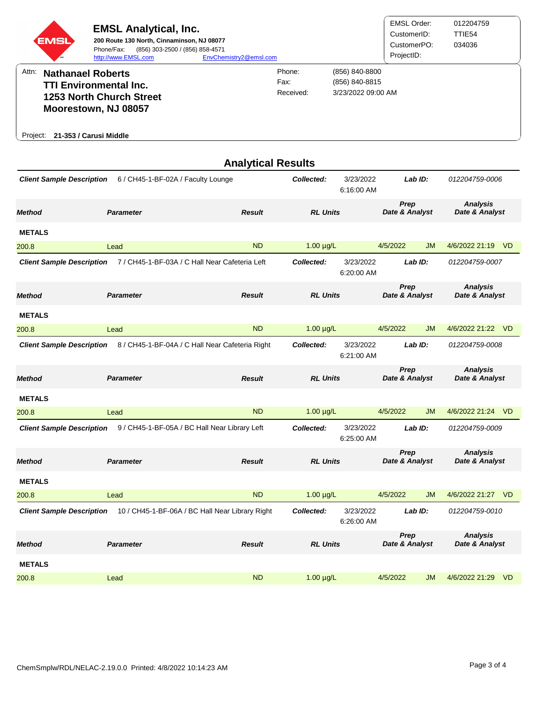| <b>EMSL</b><br><b>SM</b>        | <b>EMSL Analytical, Inc.</b><br>200 Route 130 North, Cinnaminson, NJ 08077<br>(856) 303-2500 / (856) 858-4571<br>Phone/Fax:<br>http://www.EMSL.com | EnvChemistry2@emsl.com |                             |                                                        | <b>EMSL Order:</b><br>CustomerID:<br>CustomerPO:<br>ProjectID: | 012204759<br>TTIE54<br>034036 |
|---------------------------------|----------------------------------------------------------------------------------------------------------------------------------------------------|------------------------|-----------------------------|--------------------------------------------------------|----------------------------------------------------------------|-------------------------------|
| Attn:                           | <b>Nathanael Roberts</b><br><b>TTI Environmental Inc.</b><br><b>1253 North Church Street</b>                                                       |                        | Phone:<br>Fax:<br>Received: | (856) 840-8800<br>(856) 840-8815<br>3/23/2022 09:00 AM |                                                                |                               |
| Project: 21-353 / Carusi Middle | Moorestown, NJ 08057                                                                                                                               |                        |                             |                                                        |                                                                |                               |

|                                  |                                                 | <b>Analytical Results</b>        |                 |                         |                        |           |                                   |           |
|----------------------------------|-------------------------------------------------|----------------------------------|-----------------|-------------------------|------------------------|-----------|-----------------------------------|-----------|
| <b>Client Sample Description</b> | 6 / CH45-1-BF-02A / Faculty Lounge              |                                  | Collected:      | 3/23/2022<br>6:16:00 AM |                        | Lab ID:   | 012204759-0006                    |           |
| <b>Method</b>                    | <b>Parameter</b>                                | <b>Result</b><br><b>RL Units</b> |                 |                         | Prep<br>Date & Analyst |           | <b>Analysis</b><br>Date & Analyst |           |
| <b>METALS</b>                    |                                                 |                                  |                 |                         |                        |           |                                   |           |
| 200.8                            | Lead                                            | <b>ND</b>                        | $1.00 \mu g/L$  |                         | 4/5/2022               | <b>JM</b> | 4/6/2022 21:19                    | <b>VD</b> |
| <b>Client Sample Description</b> | 7 / CH45-1-BF-03A / C Hall Near Cafeteria Left  |                                  | Collected:      | 3/23/2022<br>6:20:00 AM |                        | Lab ID:   | 012204759-0007                    |           |
| <b>Method</b>                    | <b>Parameter</b>                                | <b>Result</b>                    | <b>RL Units</b> |                         | Prep<br>Date & Analyst |           | <b>Analysis</b><br>Date & Analyst |           |
| <b>METALS</b>                    |                                                 |                                  |                 |                         |                        |           |                                   |           |
| 200.8                            | Lead                                            | <b>ND</b>                        | $1.00 \mu g/L$  |                         | 4/5/2022               | <b>JM</b> | 4/6/2022 21:22                    | -VD       |
| <b>Client Sample Description</b> | 8 / CH45-1-BF-04A / C Hall Near Cafeteria Right |                                  | Collected:      | 3/23/2022<br>6:21:00 AM |                        | Lab ID:   | 012204759-0008                    |           |
| <b>Method</b>                    | <b>Parameter</b>                                | <b>Result</b>                    | <b>RL Units</b> |                         | Prep<br>Date & Analyst |           | Analysis<br>Date & Analyst        |           |
| <b>METALS</b>                    |                                                 |                                  |                 |                         |                        |           |                                   |           |
| 200.8                            | Lead                                            | <b>ND</b>                        | $1.00 \mu g/L$  |                         | 4/5/2022               | <b>JM</b> | 4/6/2022 21:24 VD                 |           |
| <b>Client Sample Description</b> | 9 / CH45-1-BF-05A / BC Hall Near Library Left   |                                  | Collected:      | 3/23/2022<br>6:25:00 AM |                        | Lab ID:   | 012204759-0009                    |           |
| <b>Method</b>                    | <b>Parameter</b>                                | <b>Result</b>                    | <b>RL Units</b> |                         | Prep<br>Date & Analyst |           | <b>Analysis</b><br>Date & Analyst |           |
| <b>METALS</b>                    |                                                 |                                  |                 |                         |                        |           |                                   |           |
| 200.8                            | Lead                                            | <b>ND</b>                        | $1.00 \mu g/L$  |                         | 4/5/2022               | JM        | 4/6/2022 21:27 VD                 |           |
| <b>Client Sample Description</b> | 10 / CH45-1-BF-06A / BC Hall Near Library Right |                                  | Collected:      | 3/23/2022<br>6:26:00 AM |                        | Lab ID:   | 012204759-0010                    |           |
| <b>Method</b>                    | <b>Parameter</b>                                | <b>Result</b>                    | <b>RL Units</b> |                         | Prep<br>Date & Analyst |           | <b>Analysis</b><br>Date & Analyst |           |
| <b>METALS</b>                    |                                                 |                                  |                 |                         |                        |           |                                   |           |
| 200.8                            | Lead                                            | <b>ND</b>                        | $1.00 \mu g/L$  |                         | 4/5/2022               | <b>JM</b> | 4/6/2022 21:29                    | <b>VD</b> |